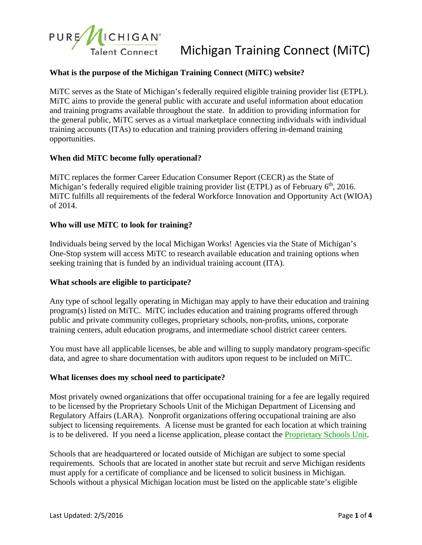

# **What is the purpose of the Michigan Training Connect (MiTC) website?**

MiTC serves as the State of Michigan's federally required eligible training provider list (ETPL). MiTC aims to provide the general public with accurate and useful information about education and training programs available throughout the state. In addition to providing information for the general public, MiTC serves as a virtual marketplace connecting individuals with individual training accounts (ITAs) to education and training providers offering in-demand training opportunities.

#### **When did MiTC become fully operational?**

MiTC replaces the former Career Education Consumer Report (CECR) as the State of Michigan's federally required eligible training provider list (ETPL) as of February 6<sup>th</sup>, 2016. MiTC fulfills all requirements of the federal Workforce Innovation and Opportunity Act (WIOA) of 2014.

#### **Who will use MiTC to look for training?**

Individuals being served by the local Michigan Works! Agencies via the State of Michigan's One-Stop system will access MiTC to research available education and training options when seeking training that is funded by an individual training account (ITA).

#### **What schools are eligible to participate?**

Any type of school legally operating in Michigan may apply to have their education and training program(s) listed on MiTC. MiTC includes education and training programs offered through public and private community colleges, proprietary schools, non-profits, unions, corporate training centers, adult education programs, and intermediate school district career centers.

You must have all applicable licenses, be able and willing to supply mandatory program-specific data, and agree to share documentation with auditors upon request to be included on MiTC.

#### **[What licenses does my school need to participate?](http://www.publicpolicy.com/CECR/Licenses.html)**

Most privately owned organizations that offer occupational training for a fee are legally required to be licensed by the Proprietary Schools Unit of the Michigan Department of Licensing and Regulatory Affairs (LARA). Nonprofit organizations offering occupational training are also subject to licensing requirements. A license must be granted for each location at which training is to be delivered. If you need a license application, please contact the [Proprietary Schools Unit.](http://www.michigan.gov/lara/0,4601,7-154-61343_35414_60647_2739---,00.html)

Schools that are headquartered or located outside of Michigan are subject to some special requirements. Schools that are located in another state but recruit and serve Michigan residents must apply for a certificate of compliance and be licensed to solicit business in Michigan. Schools without a physical Michigan location must be listed on the applicable state's eligible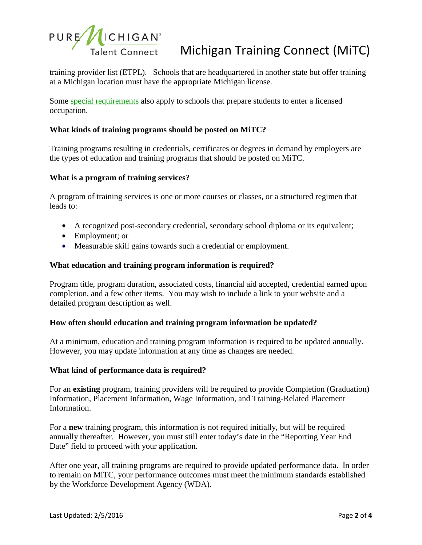

training provider list (ETPL). Schools that are headquartered in another state but offer training at a Michigan location must have the appropriate Michigan license.

Some [special requirements](http://www.michigan.gov/lara/0,4601,7-154-61343_35414_60647_2739-325599--,00.html) also apply to schools that prepare students to enter a licensed occupation.

# **What kinds of training programs should be posted on MiTC?**

Training programs resulting in credentials, certificates or degrees in demand by employers are the types of education and training programs that should be posted on MiTC.

#### **[What is a program of training services?](http://www.publicpolicy.com/CECR/CourseProgram.html)**

A program of training services is one or more courses or classes, or a structured regimen that leads to:

- A recognized post-secondary credential, secondary school diploma or its equivalent;
- Employment; or
- Measurable skill gains towards such a credential or employment.

#### **What education and training program information is required?**

Program title, program duration, associated costs, financial aid accepted, credential earned upon completion, and a few other items. You may wish to include a link to your website and a detailed program description as well.

### **How often should education and training program information be updated?**

At a minimum, education and training program information is required to be updated annually. However, you may update information at any time as changes are needed.

#### **What kind of performance data is required?**

For an **existing** program, training providers will be required to provide Completion (Graduation) Information, Placement Information, Wage Information, and Training-Related Placement Information.

For a **new** training program, this information is not required initially, but will be required annually thereafter. However, you must still enter today's date in the "Reporting Year End Date" field to proceed with your application.

After one year, all training programs are required to provide updated performance data. In order to remain on MiTC, your performance outcomes must meet the minimum standards established by the Workforce Development Agency (WDA).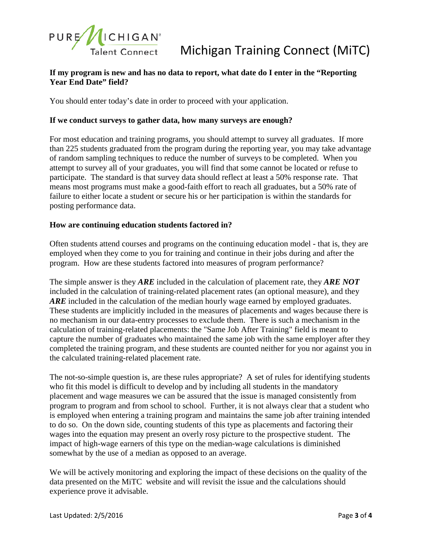

# **If my program is new and has no data to report, what date do I enter in the "Reporting Year End Date" field?**

You should enter today's date in order to proceed with your application.

# **If we conduct surveys to gather data, how many surveys are enough?**

For most education and training programs, you should attempt to survey all graduates. If more than 225 students graduated from the program during the reporting year, you may take advantage of random sampling techniques to reduce the number of surveys to be completed. When you attempt to survey all of your graduates, you will find that some cannot be located or refuse to participate. The standard is that survey data should reflect at least a 50% response rate. That means most programs must make a good-faith effort to reach all graduates, but a 50% rate of failure to either locate a student or secure his or her participation is within the standards for posting performance data.

## **[How are continuing education students factored in?](http://www.publicpolicy.com/CECR/ContinuingEd.html)**

Often students attend courses and programs on the continuing education model - that is, they are employed when they come to you for training and continue in their jobs during and after the program. How are these students factored into measures of program performance?

The simple answer is they *ARE* included in the calculation of placement rate, they *ARE NOT* included in the calculation of training-related placement rates (an optional measure), and they ARE included in the calculation of the median hourly wage earned by employed graduates. These students are implicitly included in the measures of placements and wages because there is no mechanism in our data-entry processes to exclude them. There is such a mechanism in the calculation of training-related placements: the "Same Job After Training" field is meant to capture the number of graduates who maintained the same job with the same employer after they completed the training program, and these students are counted neither for you nor against you in the calculated training-related placement rate.

The not-so-simple question is, are these rules appropriate? A set of rules for identifying students who fit this model is difficult to develop and by including all students in the mandatory placement and wage measures we can be assured that the issue is managed consistently from program to program and from school to school. Further, it is not always clear that a student who is employed when entering a training program and maintains the same job after training intended to do so. On the down side, counting students of this type as placements and factoring their wages into the equation may present an overly rosy picture to the prospective student. The impact of high-wage earners of this type on the median-wage calculations is diminished somewhat by the use of a median as opposed to an average.

We will be actively monitoring and exploring the impact of these decisions on the quality of the data presented on the MiTC website and will revisit the issue and the calculations should experience prove it advisable.